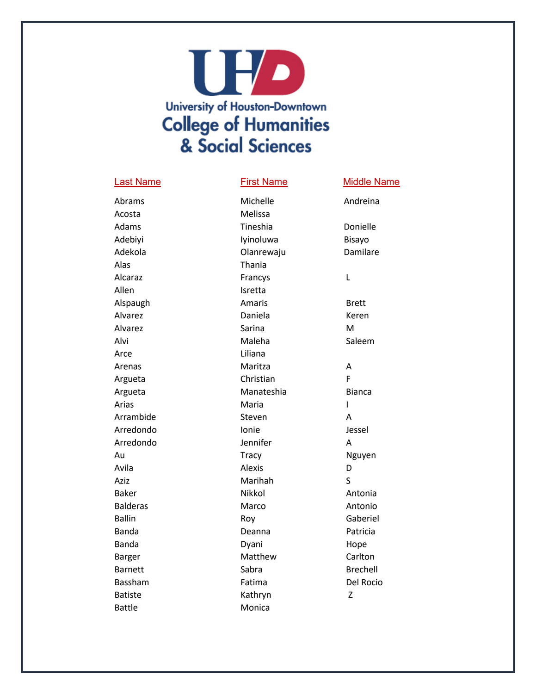## **UHD University of Houston-Downtown College of Humanities** & Social Sciences

## Last Name **First Name** Middle Name

# Acosta Melissa Alas Thania Alcaraz Francys Allen Isretta Arce Liliana Arenas Maritza Argueta Christian Arrambide Steven Arredondo Jennifer Aziz Marihah Batiste Kathryn

Abrams Michelle Andreina Adams Tineshia Donielle Adebiyi **Iyinoluwa** Bisayo Adekola Olanrewaju Damilare Alspaugh **Amaris** Amaris Brett Alvarez Daniela Keren Alvarez Sarina M Alvi Maleha Saleem Argueta **Manateshia** Bianca Arias **Maria** Maria Arredondo **Ionie** Ionie Jessel Au **Au Audiensis Communist Communist Communist Communist Communist Communist Communist Communist Communist Communist Communist Communist Communist Communist Communist Communist Communist Communist Communist Communist Commu** Avila Alexis Baker **Nikkol** Nikkol **Antonia** Balderas Marco Marco Antonio Ballin **Ballin** Roy Roy **Gaberiel** Banda **Deanna** Deanna **Patricia** Banda **Dyani** Dyani Hope Barger Matthew Carlton Barnett **Sabra** Sabra Brechell Bassham **Fatima** Passham Del Rocio Battle Monica

L A F I A A D S

Z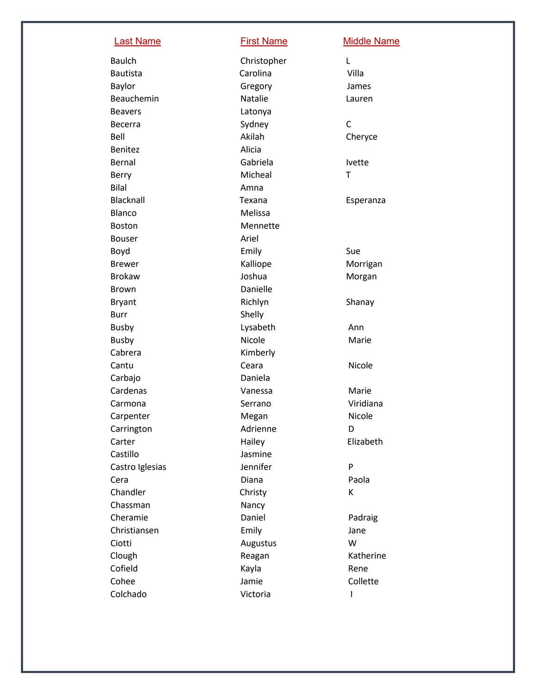| <b>Last Name</b> | <b>First Name</b> | <b>Middle Name</b> |  |
|------------------|-------------------|--------------------|--|
| <b>Baulch</b>    | Christopher       | L                  |  |
| <b>Bautista</b>  | Carolina          | Villa              |  |
| Baylor           | Gregory           | James              |  |
| Beauchemin       | Natalie           | Lauren             |  |
| <b>Beavers</b>   | Latonya           |                    |  |
| Becerra          | Sydney            | $\mathsf C$        |  |
| Bell             | Akilah            | Cheryce            |  |
| Benitez          | Alicia            |                    |  |
| Bernal           | Gabriela          | <b>lvette</b>      |  |
| Berry            | Micheal           | T                  |  |
| <b>Bilal</b>     | Amna              |                    |  |
| Blacknall        | Texana            | Esperanza          |  |
| Blanco           | Melissa           |                    |  |
| <b>Boston</b>    | Mennette          |                    |  |
| <b>Bouser</b>    | Ariel             |                    |  |
| Boyd             | Emily             | Sue                |  |
| <b>Brewer</b>    | Kalliope          | Morrigan           |  |
| <b>Brokaw</b>    | Joshua            | Morgan             |  |
| <b>Brown</b>     | Danielle          |                    |  |
| <b>Bryant</b>    | Richlyn           | Shanay             |  |
| <b>Burr</b>      | Shelly            |                    |  |
| <b>Busby</b>     | Lysabeth          | Ann                |  |
| <b>Busby</b>     | Nicole            | Marie              |  |
| Cabrera          | Kimberly          |                    |  |
| Cantu            | Ceara             | Nicole             |  |
| Carbajo          | Daniela           |                    |  |
| Cardenas         | Vanessa           | Marie              |  |
| Carmona          | Serrano           | Viridiana          |  |
| Carpenter        | Megan             | Nicole             |  |
| Carrington       | Adrienne          | D                  |  |
| Carter           | Hailey            | Elizabeth          |  |
| Castillo         | Jasmine           |                    |  |
| Castro Iglesias  | Jennifer          | ${\sf P}$          |  |
| Cera             | Diana             | Paola              |  |
| Chandler         | Christy           | К                  |  |
| Chassman         | Nancy             |                    |  |
| Cheramie         | Daniel            | Padraig            |  |
| Christiansen     | Emily             | Jane               |  |
| Ciotti           | Augustus          | W                  |  |
| Clough           | Reagan            | Katherine          |  |
| Cofield          | Kayla             | Rene               |  |
| Cohee            | Jamie             | Collette           |  |
| Colchado         | Victoria          |                    |  |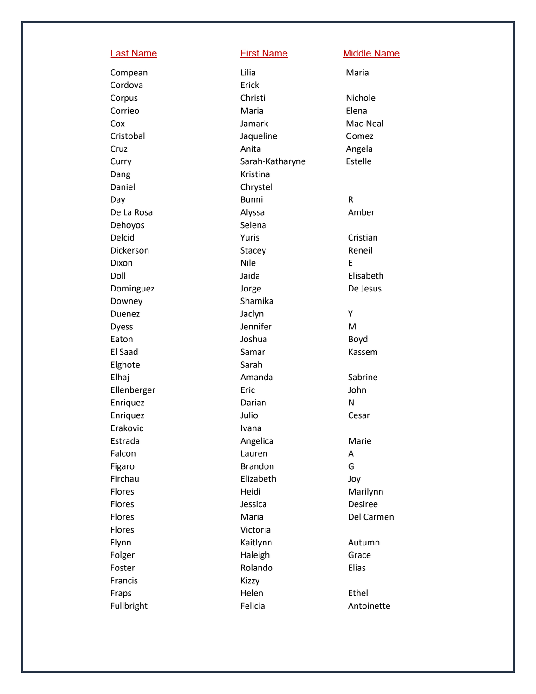Cordova Erick **Dang** Daniel Chrystel Day **Bunni** Dehoyos Selena Downey **Shamika** Duenez Jaclyn Dyess Jennifer Elghote Sarah Enriquez Darian Erakovic lvana Falcon Lauren Figaro **Brandon** Flores Victoria Francis Kizzy

Compean Lilia Lilia Maria Corpus Christi Christi Nichole Corrieo **Maria** Maria eta Elena Cox **Jamark** Mac Mac-Neal Cristobal Jaqueline Gomez Cruz **Anita** Anita Angela Curry **Curry Extelle** Sarah-Katharyne **Estelle** Kristina R De La Rosa **Alyssa** Alyssa **Amber** Delcid **National Community Cristian** Puris Cristian Dickerson Stacey Stacey Reneil Dixon Nile E Doll Jaida Elisabeth Dominguez Jorge De Jesus Y Eaton **Boyd** Joshua Boyd El Saad Samar Samar Kassem Elhaj **Amanda** Sabrine Ellenberger Eric John N Enriquez Julio Julio Cesar Estrada **Angelica** Angelica Marie A G Firchau Elizabeth Joy Flores Heidi Marilynn Flores Jessica Desiree Flores Maria Maria Del Carmen Flynn **Kaitlynn** Kaitlynn Autumn Folger **Haleigh** Haleigh Grace Foster **Rolando Elias** Fraps **Helen** Helen Ethel Fullbright **Felicia** Felicia Antoinette

## Last Name **First Name** Middle Name

M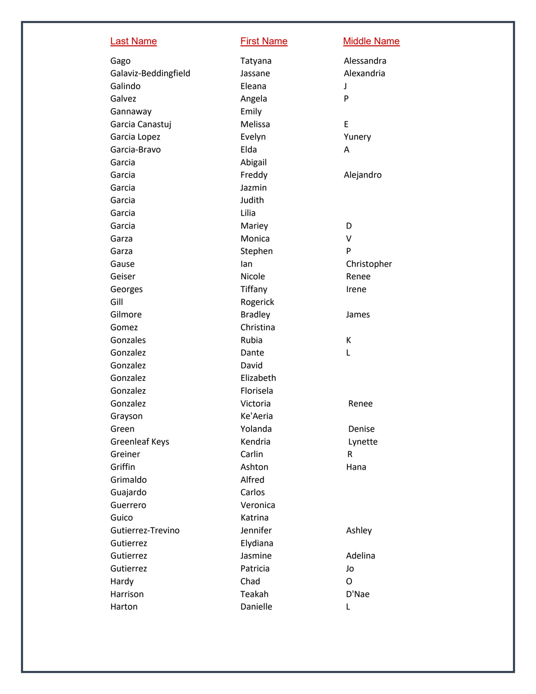| <b>Last Name</b>      | <b>First Name</b> | <b>Middle Name</b> |
|-----------------------|-------------------|--------------------|
| Gago                  | Tatyana           | Alessandra         |
| Galaviz-Beddingfield  | Jassane           | Alexandria         |
| Galindo               | Eleana            | J                  |
| Galvez                | Angela            | P                  |
| Gannaway              | Emily             |                    |
| Garcia Canastuj       | Melissa           | E                  |
| Garcia Lopez          | Evelyn            | Yunery             |
| Garcia-Bravo          | Elda              | A                  |
| Garcia                | Abigail           |                    |
| Garcia                | Freddy            | Alejandro          |
| Garcia                | Jazmin            |                    |
| Garcia                | Judith            |                    |
| Garcia                | Lilia             |                    |
| Garcia                | Mariey            | D                  |
| Garza                 | Monica            | $\vee$             |
| Garza                 | Stephen           | P                  |
| Gause                 | lan               | Christopher        |
| Geiser                | Nicole            | Renee              |
| Georges               | Tiffany           | Irene              |
| Gill                  | Rogerick          |                    |
| Gilmore               | <b>Bradley</b>    | James              |
| Gomez                 | Christina         |                    |
| Gonzales              | Rubia             | К                  |
| Gonzalez              | Dante             | L                  |
| Gonzalez              | David             |                    |
| Gonzalez              | Elizabeth         |                    |
| Gonzalez              | Florisela         |                    |
| Gonzalez              | Victoria          | Renee              |
| Grayson               | Ke'Aeria          |                    |
| Green                 | Yolanda           | Denise             |
| <b>Greenleaf Keys</b> | Kendria           | Lynette            |
| Greiner               | Carlin            | R                  |
| Griffin               | Ashton            | Hana               |
| Grimaldo              | Alfred            |                    |
| Guajardo              | Carlos            |                    |
| Guerrero              | Veronica          |                    |
| Guico                 | Katrina           |                    |
| Gutierrez-Trevino     | Jennifer          | Ashley             |
| Gutierrez             | Elydiana          |                    |
| Gutierrez             | Jasmine           | Adelina            |
| Gutierrez             | Patricia          | Jo                 |
| Hardy                 | Chad              | O                  |
| Harrison              | Teakah            | D'Nae              |
| Harton                | Danielle          | L                  |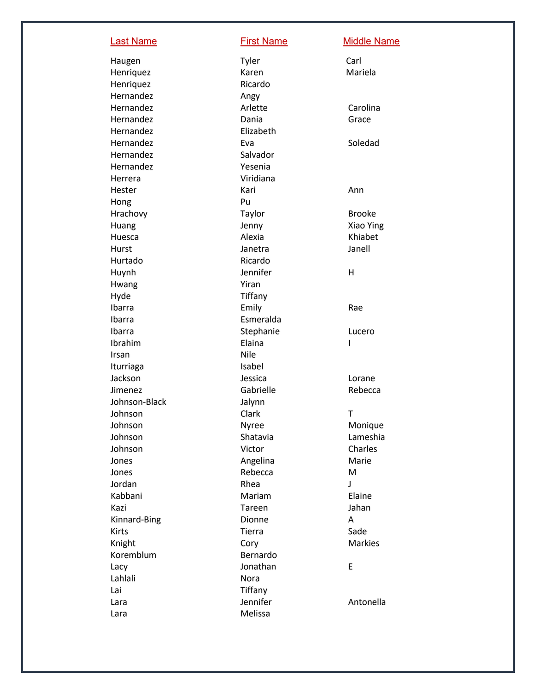Haugen Tyler Henriquez Ricardo Hernandez **Angy** Hernandez Elizabeth Hernandez Salvador Hernandez Yesenia Herrera Viridiana Hong Pu Hurtado Ricardo Huynh Jennifer Hwang Yiran Hyde Tiffany Ibarra Esmeralda Ibrahim Elaina Irsan Nile Iturriaga **Isabel** Johnson-Black Johnson Clark Jones Rebecca Kinnard Koremblum Bernardo Lacy Jonathan Lahlali Nora Lai Tiffany Lara Melissa

Last Name **First Name Middle Name** 

Carl Henriquez **Karen** Karen Mariela Hernandez **Arlette** Carolina Hernandez Dania Grace Hernandez Eva Eva Soledad Hester **Annual Annual Annual Annual Annual Annual Annual Annual Annual Annual Annual Annual Annual Annual Annu** Hrachovy Taylor Taylor Brooke Huang Jenny Xiao Ying Huesca **Alexia** Alexia **Alexia** Khiabet Hurst **Hurst** Janell Janelra **Janell** H Ibarra **Emily** Emily Rae Ibarra **International Stephanie** Charles Lucero I Jackson Jessica Lorane Jimenez Gabrielle Rebecca Jalynn T Johnson Nyree Monique Johnson Shatavia Shatavia Lameshia Johnson Victor Charles Jones **Angelina** Marie M Jordan **Rhea** Rhea J Kabbani **Mariam** Mariam Elaine Kazi **Kazi Tareen** Tareen Mahan Dionne A Kirts **Sade Communist Communist Communist Communist Communist Communist Communist Communist Communist Communist Communist Communist Communist Communist Communist Communist Communist Communist Communist Communist Communist** Knight Cory Cory Markies E Lara **Immuno Sensiter** Jennifer Antonella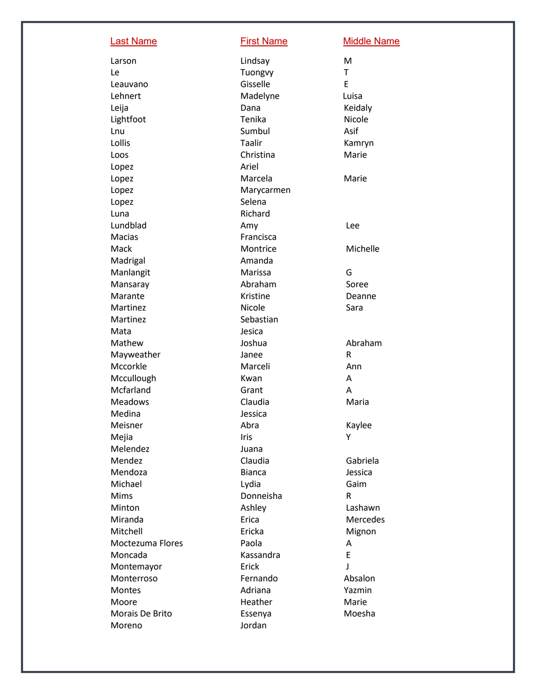| <b>Last Name</b> | <b>First Name</b> | <b>Middle Name</b> |
|------------------|-------------------|--------------------|
| Larson           | Lindsay           | M                  |
| Le               | Tuongvy           | T                  |
| Leauvano         | Gisselle          | E                  |
| Lehnert          | Madelyne          | Luisa              |
| Leija            | Dana              | Keidaly            |
| Lightfoot        | Tenika            | Nicole             |
| Lnu              | Sumbul            | Asif               |
| Lollis           | Taalir            | Kamryn             |
| Loos             | Christina         | Marie              |
| Lopez            | Ariel             |                    |
| Lopez            | Marcela           | Marie              |
| Lopez            | Marycarmen        |                    |
| Lopez            | Selena            |                    |
| Luna             | Richard           |                    |
| Lundblad         | Amy               | Lee                |
| <b>Macias</b>    | Francisca         |                    |
| Mack             | Montrice          | Michelle           |
| Madrigal         | Amanda            |                    |
| Manlangit        | Marissa           | G                  |
| Mansaray         | Abraham           | Soree              |
| Marante          | Kristine          | Deanne             |
| Martinez         | Nicole            | Sara               |
| Martinez         | Sebastian         |                    |
| Mata             | Jesica            |                    |
| Mathew           | Joshua            | Abraham            |
| Mayweather       | Janee             | R                  |
| Mccorkle         | Marceli           | Ann                |
| Mccullough       | Kwan              | Α                  |
| Mcfarland        | Grant             | A                  |
| Meadows          | Claudia           | Maria              |
| Medina           | Jessica           |                    |
| Meisner          | Abra              | Kaylee             |
| Mejia            | Iris              | Υ                  |
| Melendez         | Juana             |                    |
| Mendez           | Claudia           | Gabriela           |
| Mendoza          | <b>Bianca</b>     | Jessica            |
| Michael          | Lydia             | Gaim               |
| <b>Mims</b>      | Donneisha         | R                  |
| Minton           | Ashley            | Lashawn            |
| Miranda          | Erica             | Mercedes           |
| Mitchell         | Ericka            | Mignon             |
| Moctezuma Flores | Paola             | A                  |
| Moncada          | Kassandra         | E                  |
| Montemayor       | Erick             | J                  |
| Monterroso       | Fernando          | Absalon            |
| Montes           | Adriana           | Yazmin             |
| Moore            | Heather           | Marie              |
| Morais De Brito  | Essenya           | Moesha             |
| Moreno           | Jordan            |                    |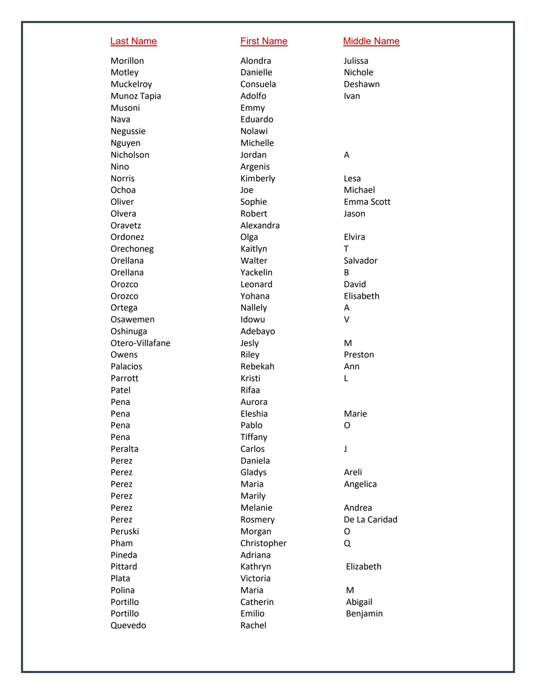Musoni Emmy Nava **Eduardo** Negussie Nolawi Nguyen Michelle Nicholson Jordan Nino Argenis Oravetz **Alexandra** Orechoneg Kaitlyn Orellana Yackelin Ortega Nallely Osawemen Idowu Oshinuga **Adebayo** Adebayo Patel Rifaa Pena Aurora Pena Tiffany Peralta Carlos Perez Daniela Perez Marily Peruski Morgan Pham Christopher Pineda Adriana Plata Victoria Polina Quevedo Rachel

Morillon Alondra Alondra Julissa Motley **Danielle** Nichole Muckelroy Consuela Deshawn Munoz Tapia **Ivan** Adolfo **Ivan** Norris **Norris Kimberly Lesa** Ochoa Joe Michael Oliver Contract Communications of Sophie Communications Emma Scott Olvera **Robert** Robert Assembly a University of the University of the University of the University of the University of the University of the University of the University of the University of the University of the Universi Ordonez **Olga** Elvira Orellana Walter Salvador Orozco **Leonard** David Orozco Yohana Elisabeth Otero -Villafane Jesly Owens **Communist Communist Communist Communist Communist Communist Communist Communist Communist Communist Communist Communist Communist Communist Communist Communist Communist Communist Communist Communist Communist Commu** Palacios Rebekah Ann Parrott **Kristi** Pena **Eleshia** Eleshia Marie Pena Pablo Pablo Perez **Gladys** Gladys **Areli** Perez **Maria** Maria **Angelica** Perez Melanie Melanie Andrea Perez Rosmery De La Caridad Pittard Kathryn Elizabeth Maria Portillo Catherin Abigail Portillo **Emilio** Emilio Benjamin

## Last Name **First Name Middle Name**

## A

T B A V M L O J O Q M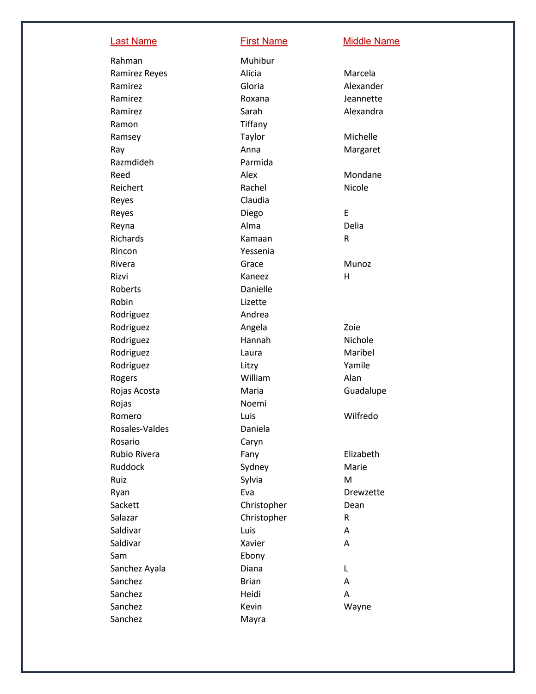Rahman Muhibur Ramon Tiffany Razmdideh Parmida Reyes Claudia Richards **Kamaan** Rincon Yessenia Rizvi Kaneez Roberts Danielle Robin Lizette Rodriguez **Andrea** Rojas Noemi Rosales Rosario Caryn Salazar Christopher Saldivar Luis Saldivar Xavier Sam Ebony Sanchez Ayala **Diana** Sanchez **Brian** Sanchez Heidi Sanchez Mayra

Last Name **First Name** Middle Name

Ramirez Reyes **Alicia** Alicia **Marcela** Ramirez Gloria Gloria Alexander Ramirez **Roxana** Roxana and Deannette Ramirez Sarah Sarah Alexandra Ramsey **Taylor** Taylor Michelle Ray **Anna** Margaret Reed **Alex** Alex **Mondane** Reichert **Rachel Nicole** Reyes and the Contract Diego Diego and the Diego and the Contract of the Diego and the Contract of the Contract o E Reyna and a controller and a controller and a controller and a controller and a controller and a controller an R Rivera **Grace** Grace **Munoz** H Rodriguez **Angela** Angela **Zoie** Rodriguez Hannah Nichole Rodriguez **Laura** Laura Maribel Rodriguez **Litzy** Litzy **Yamile** Rogers **Milliam Alan** Rojas Acosta **Maria** Maria **Guadalupe** Romero Luis Luis Wilfredo Daniela Rubio Rivera **Fany** Fany **Elizabeth** Ruddock Sydney Sydney Marie Ruiz Christian Sylvia Christian Museum Museum Museum Museum Museum Museum Museum Museum Museum Museum Museum M Ryan **Eva** Eva **Drewzette** Sackett Christopher Dean R A A L A A Sanchez **Kevin** Kevin Wayne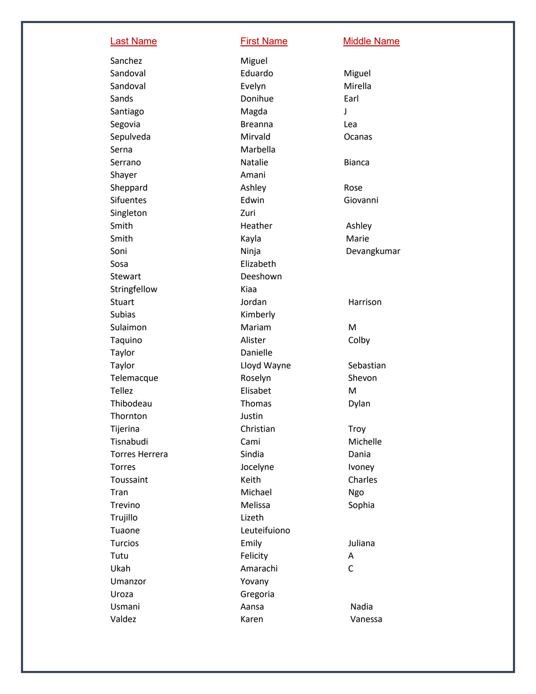Sanchez Miguel Santiago Magda Serna Marbella Shayer Amani Singleton Zuri Sosa Elizabeth Stewart **Deeshown** Stringfellow Kiaa Subias Kimberly Sulaimon Mariam Taylor **Danielle** Tellez Elisabet Thornton Justin Trujillo Lizeth Tuaone Leuteifuiono Tutu Felicity Ukah **Amarachi** Umanzor Yovany Uroza Gregoria

Last Name **First Name** Middle Name

Sandoval **Eduardo** Miguel Sandoval Evelyn Evelyn Mirella Sands **Donihue** Earl J Segovia **Breanna** Lea Sepulveda Mirvald Ocanas Serrano **Natalie** Bianca Sheppard Ashley Ashley Rose Sifuentes Edwin Edwin Giovanni Smith Heather Ashley Smith **Kayla** Kayla Marie Soni Ninja Devangkumar Stuart **According to Stuart** Jordan Marrison M Taquino Alister Colby Taylor **Taylor** Cloyd Wayne Sebastian Telemacque Roselyn Shevon M Thibodeau **Thomas** Dylan Tijerina Christian Christian Troy Tisnabudi Cami Cami Michelle Torres Herrera **Sindia** Sindia Dania Torres **Internal Incelyne Ivoney** Toussaint **Keith** Keith Charles Tran Michael Ngo Trevino **Melissa** Melissa Sophia Turcios Emily Juliana A C Usmani **Aansa** Aansa Nadia Valdez **Karen** Karen Manessa